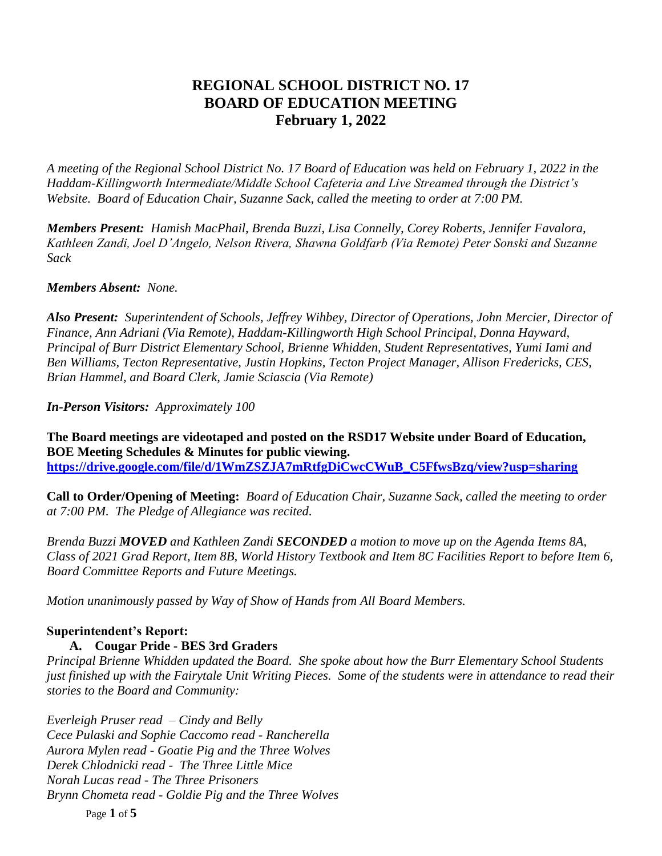# **REGIONAL SCHOOL DISTRICT NO. 17 BOARD OF EDUCATION MEETING February 1, 2022**

*A meeting of the Regional School District No. 17 Board of Education was held on February 1, 2022 in the Haddam-Killingworth Intermediate/Middle School Cafeteria and Live Streamed through the District's Website. Board of Education Chair, Suzanne Sack, called the meeting to order at 7:00 PM.*

*Members Present: Hamish MacPhail, Brenda Buzzi, Lisa Connelly, Corey Roberts, Jennifer Favalora, Kathleen Zandi, Joel D'Angelo, Nelson Rivera, Shawna Goldfarb (Via Remote) Peter Sonski and Suzanne Sack*

*Members Absent: None.*

*Also Present: Superintendent of Schools, Jeffrey Wihbey, Director of Operations, John Mercier, Director of Finance, Ann Adriani (Via Remote), Haddam-Killingworth High School Principal, Donna Hayward, Principal of Burr District Elementary School, Brienne Whidden, Student Representatives, Yumi Iami and Ben Williams, Tecton Representative, Justin Hopkins, Tecton Project Manager, Allison Fredericks, CES, Brian Hammel, and Board Clerk, Jamie Sciascia (Via Remote)* 

*In-Person Visitors: Approximately 100*

**The Board meetings are videotaped and posted on the RSD17 Website under Board of Education, BOE Meeting Schedules & Minutes for public viewing. [https://drive.google.com/file/d/1WmZSZJA7mRtfgDiCwcCWuB\\_C5FfwsBzq/view?usp=sharing](https://drive.google.com/file/d/1WmZSZJA7mRtfgDiCwcCWuB_C5FfwsBzq/view?usp=sharing)**

**Call to Order/Opening of Meeting:** *Board of Education Chair, Suzanne Sack, called the meeting to order at 7:00 PM. The Pledge of Allegiance was recited.*

*Brenda Buzzi MOVED and Kathleen Zandi SECONDED a motion to move up on the Agenda Items 8A, Class of 2021 Grad Report, Item 8B, World History Textbook and Item 8C Facilities Report to before Item 6, Board Committee Reports and Future Meetings.*

*Motion unanimously passed by Way of Show of Hands from All Board Members.*

## **Superintendent's Report:**

 **A. Cougar Pride - BES 3rd Graders**

*Principal Brienne Whidden updated the Board. She spoke about how the Burr Elementary School Students just finished up with the Fairytale Unit Writing Pieces. Some of the students were in attendance to read their stories to the Board and Community:*

*Everleigh Pruser read – Cindy and Belly Cece Pulaski and Sophie Caccomo read - Rancherella Aurora Mylen read - Goatie Pig and the Three Wolves Derek Chlodnicki read - The Three Little Mice Norah Lucas read - The Three Prisoners Brynn Chometa read - Goldie Pig and the Three Wolves*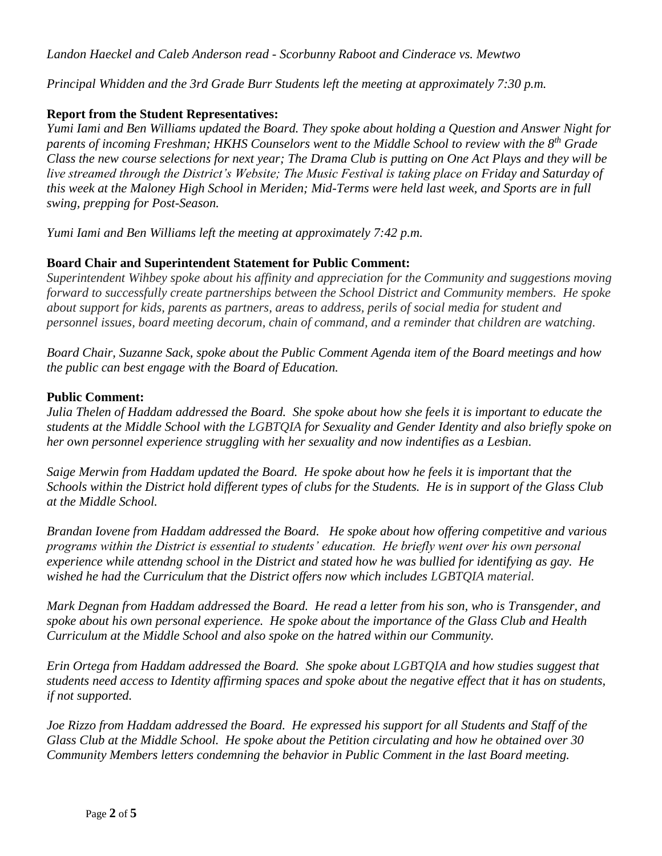*Landon Haeckel and Caleb Anderson read - Scorbunny Raboot and Cinderace vs. Mewtwo*

*Principal Whidden and the 3rd Grade Burr Students left the meeting at approximately 7:30 p.m.*

### **Report from the Student Representatives:**

*Yumi Iami and Ben Williams updated the Board. They spoke about holding a Question and Answer Night for parents of incoming Freshman; HKHS Counselors went to the Middle School to review with the 8th Grade Class the new course selections for next year; The Drama Club is putting on One Act Plays and they will be live streamed through the District's Website; The Music Festival is taking place on Friday and Saturday of this week at the Maloney High School in Meriden; Mid-Terms were held last week, and Sports are in full swing, prepping for Post-Season.*

*Yumi Iami and Ben Williams left the meeting at approximately 7:42 p.m.*

### **Board Chair and Superintendent Statement for Public Comment:**

*Superintendent Wihbey spoke about his affinity and appreciation for the Community and suggestions moving forward to successfully create partnerships between the School District and Community members. He spoke about support for kids, parents as partners, areas to address, perils of social media for student and personnel issues, board meeting decorum, chain of command, and a reminder that children are watching.* 

*Board Chair, Suzanne Sack, spoke about the Public Comment Agenda item of the Board meetings and how the public can best engage with the Board of Education.*

#### **Public Comment:**

*Julia Thelen of Haddam addressed the Board. She spoke about how she feels it is important to educate the students at the Middle School with the LGBTQIA for Sexuality and Gender Identity and also briefly spoke on her own personnel experience struggling with her sexuality and now indentifies as a Lesbian.*

*Saige Merwin from Haddam updated the Board. He spoke about how he feels it is important that the Schools within the District hold different types of clubs for the Students. He is in support of the Glass Club at the Middle School.*

*Brandan Iovene from Haddam addressed the Board. He spoke about how offering competitive and various programs within the District is essential to students' education. He briefly went over his own personal experience while attendng school in the District and stated how he was bullied for identifying as gay. He wished he had the Curriculum that the District offers now which includes LGBTQIA material.*

*Mark Degnan from Haddam addressed the Board. He read a letter from his son, who is Transgender, and spoke about his own personal experience. He spoke about the importance of the Glass Club and Health Curriculum at the Middle School and also spoke on the hatred within our Community.* 

*Erin Ortega from Haddam addressed the Board. She spoke about LGBTQIA and how studies suggest that students need access to Identity affirming spaces and spoke about the negative effect that it has on students, if not supported.*

*Joe Rizzo from Haddam addressed the Board. He expressed his support for all Students and Staff of the Glass Club at the Middle School. He spoke about the Petition circulating and how he obtained over 30 Community Members letters condemning the behavior in Public Comment in the last Board meeting.*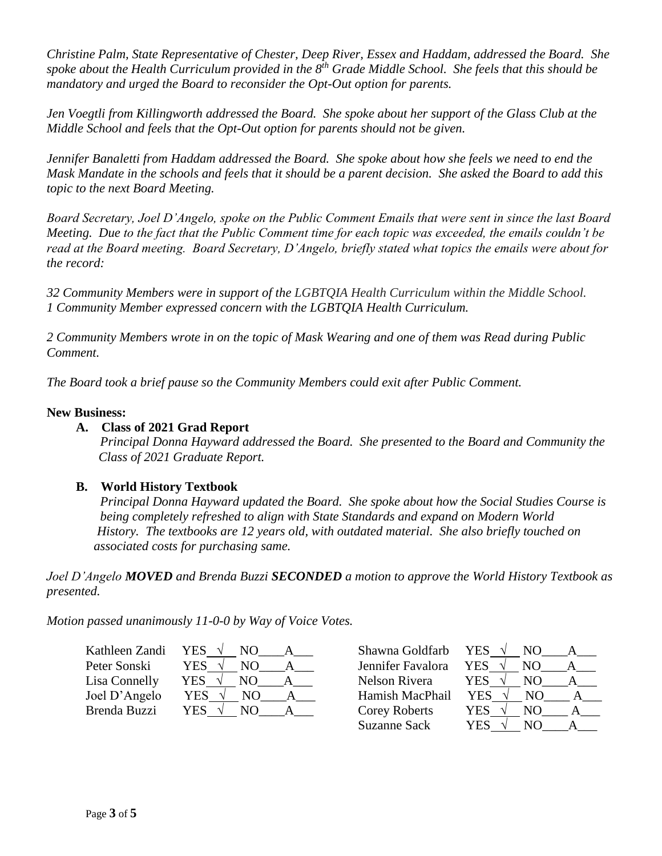*Christine Palm, State Representative of Chester, Deep River, Essex and Haddam, addressed the Board. She spoke about the Health Curriculum provided in the 8th Grade Middle School. She feels that this should be mandatory and urged the Board to reconsider the Opt-Out option for parents.*

*Jen Voegtli from Killingworth addressed the Board. She spoke about her support of the Glass Club at the Middle School and feels that the Opt-Out option for parents should not be given.*

*Jennifer Banaletti from Haddam addressed the Board. She spoke about how she feels we need to end the Mask Mandate in the schools and feels that it should be a parent decision. She asked the Board to add this topic to the next Board Meeting.*

*Board Secretary, Joel D'Angelo, spoke on the Public Comment Emails that were sent in since the last Board Meeting. Due to the fact that the Public Comment time for each topic was exceeded, the emails couldn't be read at the Board meeting. Board Secretary, D'Angelo, briefly stated what topics the emails were about for the record:*

*32 Community Members were in support of the LGBTQIA Health Curriculum within the Middle School. 1 Community Member expressed concern with the LGBTQIA Health Curriculum.*

*2 Community Members wrote in on the topic of Mask Wearing and one of them was Read during Public Comment.*

*The Board took a brief pause so the Community Members could exit after Public Comment.*

#### **New Business:**

#### **A. Class of 2021 Grad Report**

*Principal Donna Hayward addressed the Board. She presented to the Board and Community the Class of 2021 Graduate Report.*

#### **B. World History Textbook**

 *Principal Donna Hayward updated the Board. She spoke about how the Social Studies Course is being completely refreshed to align with State Standards and expand on Modern World History. The textbooks are 12 years old, with outdated material. She also briefly touched on associated costs for purchasing same.* 

*Joel D'Angelo MOVED and Brenda Buzzi SECONDED a motion to approve the World History Textbook as presented.*

*Motion passed unanimously 11-0-0 by Way of Voice Votes.*

| Kathleen Zandi | <b>YES</b> | Shawna Goldfarb      | YES.<br>NO. |
|----------------|------------|----------------------|-------------|
| Peter Sonski   | YES        | Jennifer Favalora    | YES<br>NО   |
| Lisa Connelly  | YES<br>NO. | Nelson Rivera        | YES<br>NО   |
| Joel D'Angelo  | YES<br>NO  | Hamish MacPhail      | YES.<br>NO. |
| Brenda Buzzi   | YES.<br>NΟ | <b>Corey Roberts</b> | YES<br>NO   |
|                |            | Suzanne Sack         | YES<br>NO.  |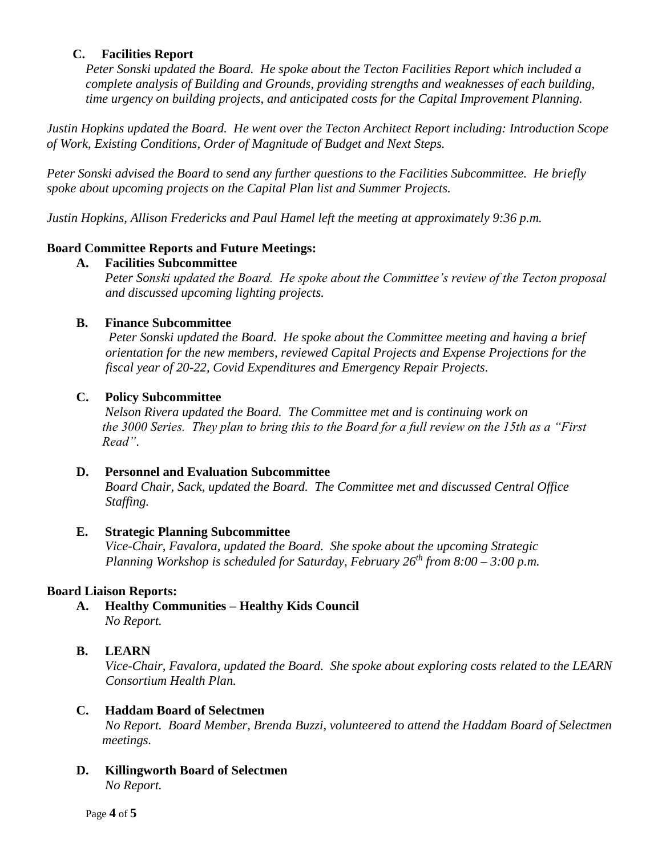### **C. Facilities Report**

*Peter Sonski updated the Board. He spoke about the Tecton Facilities Report which included a complete analysis of Building and Grounds, providing strengths and weaknesses of each building, time urgency on building projects, and anticipated costs for the Capital Improvement Planning.* 

*Justin Hopkins updated the Board. He went over the Tecton Architect Report including: Introduction Scope of Work, Existing Conditions, Order of Magnitude of Budget and Next Steps.*

*Peter Sonski advised the Board to send any further questions to the Facilities Subcommittee. He briefly spoke about upcoming projects on the Capital Plan list and Summer Projects.*

*Justin Hopkins, Allison Fredericks and Paul Hamel left the meeting at approximately 9:36 p.m.*

### **Board Committee Reports and Future Meetings:**

### **A. Facilities Subcommittee**

*Peter Sonski updated the Board. He spoke about the Committee's review of the Tecton proposal and discussed upcoming lighting projects.* 

### **B. Finance Subcommittee**

*Peter Sonski updated the Board. He spoke about the Committee meeting and having a brief orientation for the new members, reviewed Capital Projects and Expense Projections for the fiscal year of 20-22, Covid Expenditures and Emergency Repair Projects.*

### **C. Policy Subcommittee**

*Nelson Rivera updated the Board. The Committee met and is continuing work on the 3000 Series. They plan to bring this to the Board for a full review on the 15th as a "First Read"*.

### **D. Personnel and Evaluation Subcommittee**

*Board Chair, Sack, updated the Board. The Committee met and discussed Central Office Staffing.*

#### **E. Strategic Planning Subcommittee**

*Vice-Chair, Favalora, updated the Board. She spoke about the upcoming Strategic Planning Workshop is scheduled for Saturday, February 26th from 8:00 – 3:00 p.m.*

### **Board Liaison Reports:**

**A. Healthy Communities – Healthy Kids Council** *No Report.*

### **B. LEARN**

*Vice-Chair, Favalora, updated the Board. She spoke about exploring costs related to the LEARN Consortium Health Plan.*

#### **C. Haddam Board of Selectmen**

*No Report. Board Member, Brenda Buzzi, volunteered to attend the Haddam Board of Selectmen meetings.*

#### **D. Killingworth Board of Selectmen** *No Report.*